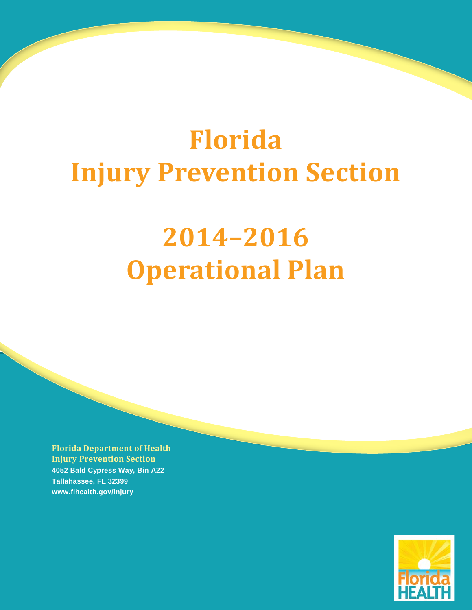# **Florida Injury Prevention Section**

# **2014–2016 Operational Plan**

**Florida Department of Health Injury Prevention Section 4052 Bald Cypress Way, Bin A22 Tallahassee, FL 32399 www.flhealth.gov/injury**

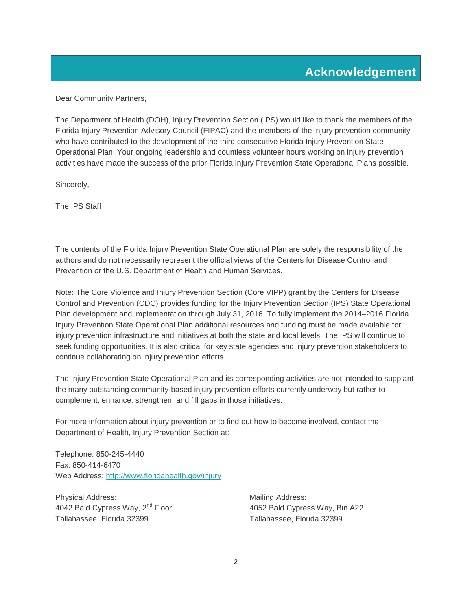<span id="page-1-0"></span>Dear Community Partners,

The Department of Health (DOH), Injury Prevention Section (IPS) would like to thank the members of the Florida Injury Prevention Advisory Council (FIPAC) and the members of the injury prevention community who have contributed to the development of the third consecutive Florida Injury Prevention State Operational Plan. Your ongoing leadership and countless volunteer hours working on injury prevention activities have made the success of the prior Florida Injury Prevention State Operational Plans possible.

Sincerely,

The IPS Staff

The contents of the Florida Injury Prevention State Operational Plan are solely the responsibility of the authors and do not necessarily represent the official views of the Centers for Disease Control and Prevention or the U.S. Department of Health and Human Services.

Note: The Core Violence and Injury Prevention Section (Core VIPP) grant by the Centers for Disease Control and Prevention (CDC) provides funding for the Injury Prevention Section (IPS) State Operational Plan development and implementation through July 31, 2016. To fully implement the 2014–2016 Florida Injury Prevention State Operational Plan additional resources and funding must be made available for injury prevention infrastructure and initiatives at both the state and local levels. The IPS will continue to seek funding opportunities. It is also critical for key state agencies and injury prevention stakeholders to continue collaborating on injury prevention efforts.

The Injury Prevention State Operational Plan and its corresponding activities are not intended to supplant the many outstanding community-based injury prevention efforts currently underway but rather to complement, enhance, strengthen, and fill gaps in those initiatives.

For more information about injury prevention or to find out how to become involved, contact the Department of Health, Injury Prevention Section at:

Telephone: 850-245-4440 Fax: 850-414-6470 Web Address:<http://www.floridahealth.gov/injury>

Physical Address: Mailing Address: Mailing Address: 4042 Bald Cypress Way, 2<sup>nd</sup> Floor 4052 Bald Cypress Way, Bin A22 Tallahassee, Florida 32399 Tallahassee, Florida 32399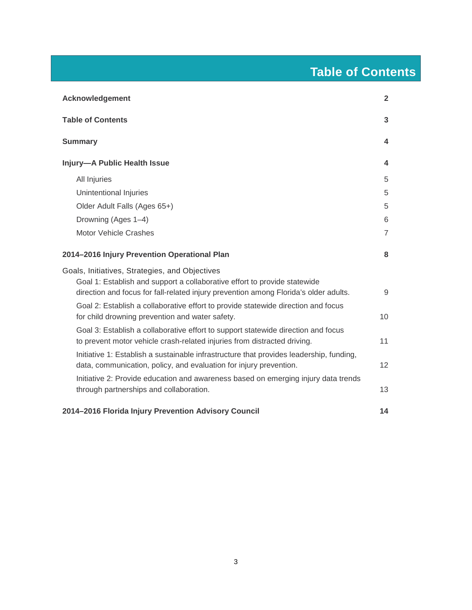## **Table of Contents**

<span id="page-2-0"></span>

| <b>Acknowledgement</b>                                                                                                                                        | $\overline{2}$ |
|---------------------------------------------------------------------------------------------------------------------------------------------------------------|----------------|
| <b>Table of Contents</b>                                                                                                                                      | 3              |
| <b>Summary</b>                                                                                                                                                | 4              |
| Injury-A Public Health Issue                                                                                                                                  | 4              |
| All Injuries                                                                                                                                                  | 5              |
| Unintentional Injuries                                                                                                                                        | 5              |
| Older Adult Falls (Ages 65+)                                                                                                                                  | 5              |
| Drowning (Ages 1-4)                                                                                                                                           | 6              |
| <b>Motor Vehicle Crashes</b>                                                                                                                                  | $\overline{7}$ |
| 2014-2016 Injury Prevention Operational Plan                                                                                                                  | 8              |
| Goals, Initiatives, Strategies, and Objectives                                                                                                                |                |
| Goal 1: Establish and support a collaborative effort to provide statewide                                                                                     |                |
| direction and focus for fall-related injury prevention among Florida's older adults.                                                                          | 9              |
| Goal 2: Establish a collaborative effort to provide statewide direction and focus<br>for child drowning prevention and water safety.                          | 10             |
| Goal 3: Establish a collaborative effort to support statewide direction and focus                                                                             |                |
| to prevent motor vehicle crash-related injuries from distracted driving.                                                                                      | 11             |
| Initiative 1: Establish a sustainable infrastructure that provides leadership, funding,<br>data, communication, policy, and evaluation for injury prevention. | 12             |
| Initiative 2: Provide education and awareness based on emerging injury data trends                                                                            |                |
| through partnerships and collaboration.                                                                                                                       | 13             |
| 2014-2016 Florida Injury Prevention Advisory Council                                                                                                          | 14             |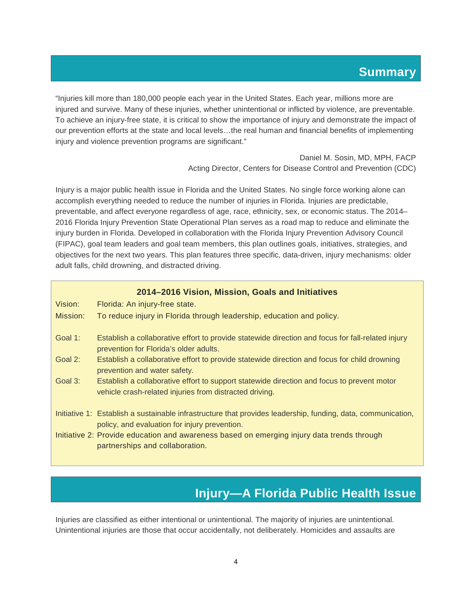<span id="page-3-0"></span>"Injuries kill more than 180,000 people each year in the United States. Each year, millions more are injured and survive. Many of these injuries, whether unintentional or inflicted by violence, are preventable. To achieve an injury-free state, it is critical to show the importance of injury and demonstrate the impact of our prevention efforts at the state and local levels…the real human and financial benefits of implementing injury and violence prevention programs are significant."

> Daniel M. Sosin, MD, MPH, FACP Acting Director, Centers for Disease Control and Prevention (CDC)

Injury is a major public health issue in Florida and the United States. No single force working alone can accomplish everything needed to reduce the number of injuries in Florida. Injuries are predictable, preventable, and affect everyone regardless of age, race, ethnicity, sex, or economic status. The 2014– 2016 Florida Injury Prevention State Operational Plan serves as a road map to reduce and eliminate the injury burden in Florida. Developed in collaboration with the Florida Injury Prevention Advisory Council (FIPAC), goal team leaders and goal team members, this plan outlines goals, initiatives, strategies, and objectives for the next two years. This plan features three specific, data-driven, injury mechanisms: older adult falls, child drowning, and distracted driving.

## **2014–2016 Vision, Mission, Goals and Initiatives**

| Vision:    | Florida: An injury-free state.                                                                                                                                |
|------------|---------------------------------------------------------------------------------------------------------------------------------------------------------------|
| Mission:   | To reduce injury in Florida through leadership, education and policy.                                                                                         |
| Goal 1:    | Establish a collaborative effort to provide statewide direction and focus for fall-related injury<br>prevention for Florida's older adults.                   |
| Goal 2:    | Establish a collaborative effort to provide statewide direction and focus for child drowning<br>prevention and water safety.                                  |
| Goal $3$ : | Establish a collaborative effort to support statewide direction and focus to prevent motor<br>vehicle crash-related injuries from distracted driving.         |
|            | Initiative 1: Establish a sustainable infrastructure that provides leadership, funding, data, communication,<br>policy, and evaluation for injury prevention. |
|            | Initiative 2: Provide education and awareness based on emerging injury data trends through<br>partnerships and collaboration.                                 |

## **Injury—A Florida Public Health Issue**

<span id="page-3-1"></span>Injuries are classified as either intentional or unintentional. The majority of injuries are unintentional. Unintentional injuries are those that occur accidentally, not deliberately. Homicides and assaults are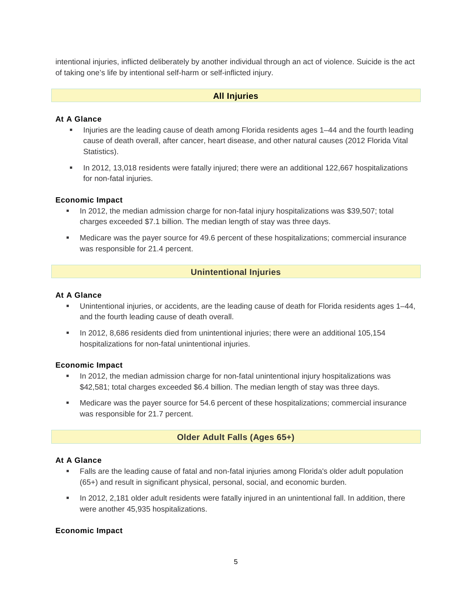intentional injuries, inflicted deliberately by another individual through an act of violence. Suicide is the act of taking one's life by intentional self-harm or self-inflicted injury.

## **All Injuries**

## <span id="page-4-0"></span>**At A Glance**

- Injuries are the leading cause of death among Florida residents ages 1-44 and the fourth leading cause of death overall, after cancer, heart disease, and other natural causes (2012 Florida Vital Statistics).
- In 2012, 13,018 residents were fatally injured; there were an additional 122,667 hospitalizations for non-fatal injuries.

### **Economic Impact**

- In 2012, the median admission charge for non-fatal injury hospitalizations was \$39,507; total charges exceeded \$7.1 billion. The median length of stay was three days.
- <span id="page-4-1"></span> Medicare was the payer source for 49.6 percent of these hospitalizations; commercial insurance was responsible for 21.4 percent.

### **Unintentional Injuries**

#### **At A Glance**

- Unintentional injuries, or accidents, are the leading cause of death for Florida residents ages 1–44, and the fourth leading cause of death overall.
- In 2012, 8,686 residents died from unintentional injuries; there were an additional 105,154 hospitalizations for non-fatal unintentional injuries.

## **Economic Impact**

- **In 2012, the median admission charge for non-fatal unintentional injury hospitalizations was** \$42,581; total charges exceeded \$6.4 billion. The median length of stay was three days.
- <span id="page-4-2"></span> Medicare was the payer source for 54.6 percent of these hospitalizations; commercial insurance was responsible for 21.7 percent.

## **Older Adult Falls (Ages 65+)**

#### **At A Glance**

- Falls are the leading cause of fatal and non-fatal injuries among Florida's older adult population (65+) and result in significant physical, personal, social, and economic burden.
- In 2012, 2,181 older adult residents were fatally injured in an unintentional fall. In addition, there were another 45,935 hospitalizations.

#### **Economic Impact**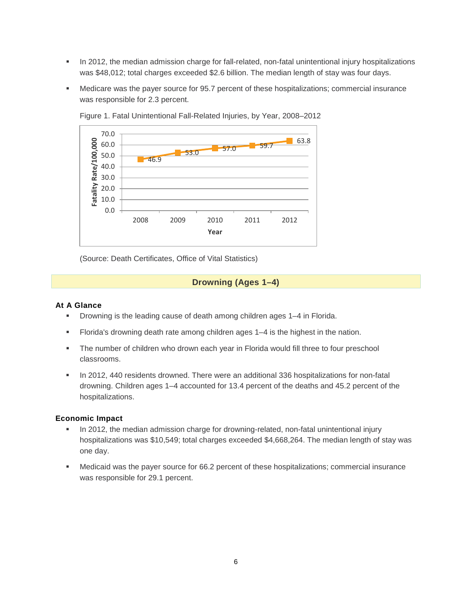- In 2012, the median admission charge for fall-related, non-fatal unintentional injury hospitalizations was \$48,012; total charges exceeded \$2.6 billion. The median length of stay was four days.
- Medicare was the payer source for 95.7 percent of these hospitalizations; commercial insurance was responsible for 2.3 percent.



Figure 1. Fatal Unintentional Fall-Related Injuries, by Year, 2008–2012

<span id="page-5-0"></span>(Source: Death Certificates, Office of Vital Statistics)

## **Drowning (Ages 1–4)**

#### **At A Glance**

- Drowning is the leading cause of death among children ages 1–4 in Florida.
- Florida's drowning death rate among children ages 1–4 is the highest in the nation.
- The number of children who drown each year in Florida would fill three to four preschool classrooms.
- In 2012, 440 residents drowned. There were an additional 336 hospitalizations for non-fatal drowning. Children ages 1–4 accounted for 13.4 percent of the deaths and 45.2 percent of the hospitalizations.

#### **Economic Impact**

- In 2012, the median admission charge for drowning-related, non-fatal unintentional injury hospitalizations was \$10,549; total charges exceeded \$4,668,264. The median length of stay was one day.
- Medicaid was the payer source for 66.2 percent of these hospitalizations; commercial insurance was responsible for 29.1 percent.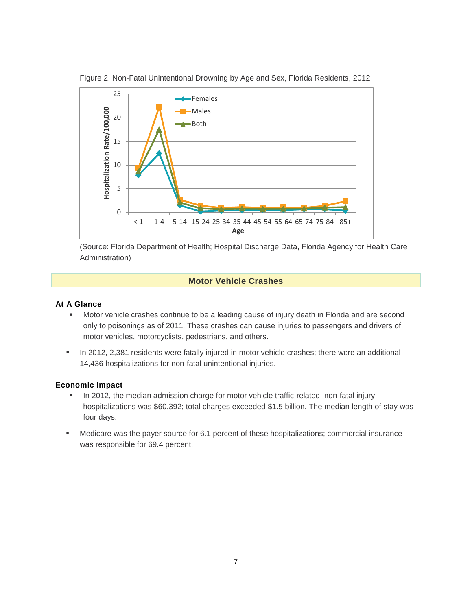

Figure 2. Non-Fatal Unintentional Drowning by Age and Sex, Florida Residents, 2012

(Source: Florida Department of Health; Hospital Discharge Data, Florida Agency for Health Care Administration)

## **Motor Vehicle Crashes**

### <span id="page-6-0"></span>**At A Glance**

- Motor vehicle crashes continue to be a leading cause of injury death in Florida and are second only to poisonings as of 2011. These crashes can cause injuries to passengers and drivers of motor vehicles, motorcyclists, pedestrians, and others.
- In 2012, 2,381 residents were fatally injured in motor vehicle crashes; there were an additional 14,436 hospitalizations for non-fatal unintentional injuries.

## **Economic Impact**

- In 2012, the median admission charge for motor vehicle traffic-related, non-fatal injury hospitalizations was \$60,392; total charges exceeded \$1.5 billion. The median length of stay was four days.
- Medicare was the payer source for 6.1 percent of these hospitalizations; commercial insurance was responsible for 69.4 percent.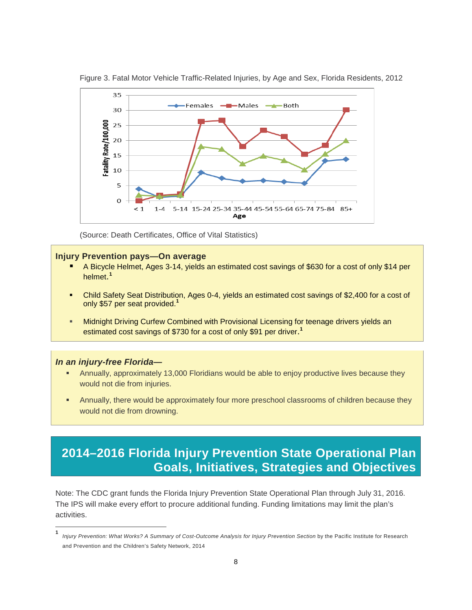

Figure 3. Fatal Motor Vehicle Traffic-Related Injuries, by Age and Sex, Florida Residents, 2012

(Source: Death Certificates, Office of Vital Statistics)

## **Injury Prevention pays—On average**

- A Bicycle Helmet, Ages 3-14, yields an estimated cost savings of \$630 for a cost of only \$14 per helmet. **[1](#page-7-1)**
- Child Safety Seat Distribution, Ages 0-4, yields an estimated cost savings of \$2,400 for a cost of only \$57 per seat provided.**<sup>1</sup>**
- Midnight Driving Curfew Combined with Provisional Licensing for teenage drivers yields an estimated cost savings of \$730 for a cost of only \$91 per driver. **1**

#### *In an injury-free Florida—*

 $\overline{a}$ 

- Annually, approximately 13,000 Floridians would be able to enjoy productive lives because they would not die from injuries.
- Annually, there would be approximately four more preschool classrooms of children because they would not die from drowning.

## <span id="page-7-0"></span>**2014–2016 Florida Injury Prevention State Operational Plan Goals, Initiatives, Strategies and Objectives**

Note: The CDC grant funds the Florida Injury Prevention State Operational Plan through July 31, 2016. The IPS will make every effort to procure additional funding. Funding limitations may limit the plan's activities.

<span id="page-7-1"></span>**<sup>1</sup>** *Injury Prevention: What Works? A Summary of Cost-Outcome Analysis for Injury Prevention Section* by the Pacific Institute for Research and Prevention and the Children's Safety Network, 2014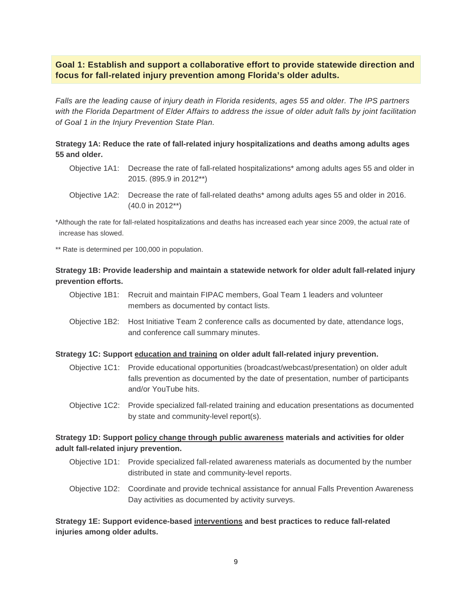## <span id="page-8-0"></span>**Goal 1: Establish and support a collaborative effort to provide statewide direction and focus for fall-related injury prevention among Florida's older adults.**

*Falls are the leading cause of injury death in Florida residents, ages 55 and older. The IPS partners with the Florida Department of Elder Affairs to address the issue of older adult falls by joint facilitation of Goal 1 in the Injury Prevention State Plan.*

## **Strategy 1A: Reduce the rate of fall-related injury hospitalizations and deaths among adults ages 55 and older.**

- Objective 1A1: Decrease the rate of fall-related hospitalizations\* among adults ages 55 and older in 2015. (895.9 in 2012\*\*)
- Objective 1A2: Decrease the rate of fall-related deaths\* among adults ages 55 and older in 2016. (40.0 in 2012\*\*)

\*Although the rate for fall-related hospitalizations and deaths has increased each year since 2009, the actual rate of increase has slowed.

\*\* Rate is determined per 100,000 in population.

## **Strategy 1B: Provide leadership and maintain a statewide network for older adult fall-related injury prevention efforts.**

- Objective 1B1: Recruit and maintain FIPAC members, Goal Team 1 leaders and volunteer members as documented by contact lists.
- Objective 1B2: Host Initiative Team 2 conference calls as documented by date, attendance logs, and conference call summary minutes.

## **Strategy 1C: Support education and training on older adult fall-related injury prevention.**

- Objective 1C1: Provide educational opportunities (broadcast/webcast/presentation) on older adult falls prevention as documented by the date of presentation, number of participants and/or YouTube hits.
- Objective 1C2: Provide specialized fall-related training and education presentations as documented by state and community-level report(s).

## **Strategy 1D: Support policy change through public awareness materials and activities for older adult fall-related injury prevention.**

- Objective 1D1: Provide specialized fall-related awareness materials as documented by the number distributed in state and community-level reports.
- Objective 1D2: Coordinate and provide technical assistance for annual Falls Prevention Awareness Day activities as documented by activity surveys.

## **Strategy 1E: Support evidence-based interventions and best practices to reduce fall-related injuries among older adults.**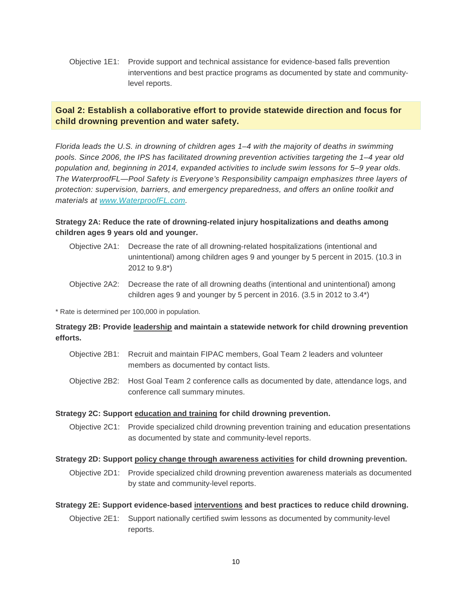Objective 1E1: Provide support and technical assistance for evidence-based falls prevention interventions and best practice programs as documented by state and communitylevel reports.

## <span id="page-9-0"></span>**Goal 2: Establish a collaborative effort to provide statewide direction and focus for child drowning prevention and water safety.**

*Florida leads the U.S. in drowning of children ages 1–4 with the majority of deaths in swimming pools. Since 2006, the IPS has facilitated drowning prevention activities targeting the 1–4 year old population and, beginning in 2014, expanded activities to include swim lessons for 5–9 year olds. The WaterproofFL—Pool Safety is Everyone's Responsibility campaign emphasizes three layers of protection: supervision, barriers, and emergency preparedness, and offers an online toolkit and materials at www.WaterproofFL.com.* 

## **Strategy 2A: Reduce the rate of drowning-related injury hospitalizations and deaths among children ages 9 years old and younger.**

- Objective 2A1: Decrease the rate of all drowning-related hospitalizations (intentional and unintentional) among children ages 9 and younger by 5 percent in 2015. (10.3 in 2012 to 9.8\*)
- Objective 2A2: Decrease the rate of all drowning deaths (intentional and unintentional) among children ages 9 and younger by 5 percent in 2016. (3.5 in 2012 to 3.4\*)

\* Rate is determined per 100,000 in population.

## **Strategy 2B: Provide leadership and maintain a statewide network for child drowning prevention efforts.**

- Objective 2B1: Recruit and maintain FIPAC members, Goal Team 2 leaders and volunteer members as documented by contact lists.
- Objective 2B2: Host Goal Team 2 conference calls as documented by date, attendance logs, and conference call summary minutes.

## **Strategy 2C: Support education and training for child drowning prevention.**

Objective 2C1: Provide specialized child drowning prevention training and education presentations as documented by state and community-level reports.

## **Strategy 2D: Support policy change through awareness activities for child drowning prevention.**

Objective 2D1: Provide specialized child drowning prevention awareness materials as documented by state and community-level reports.

## **Strategy 2E: Support evidence-based interventions and best practices to reduce child drowning.**

Objective 2E1: Support nationally certified swim lessons as documented by community-level reports.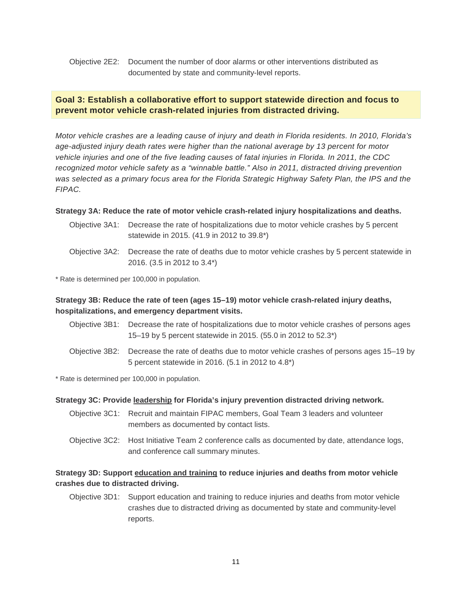## Objective 2E2: Document the number of door alarms or other interventions distributed as documented by state and community-level reports.

## <span id="page-10-0"></span>**Goal 3: Establish a collaborative effort to support statewide direction and focus to prevent motor vehicle crash-related injuries from distracted driving.**

*Motor vehicle crashes are a leading cause of injury and death in Florida residents. In 2010, Florida's age-adjusted injury death rates were higher than the national average by 13 percent for motor vehicle injuries and one of the five leading causes of fatal injuries in Florida. In 2011, the CDC recognized motor vehicle safety as a "winnable battle." Also in 2011, distracted driving prevention was selected as a primary focus area for the Florida Strategic Highway Safety Plan, the IPS and the FIPAC.* 

#### **Strategy 3A: Reduce the rate of motor vehicle crash-related injury hospitalizations and deaths.**

- Objective 3A1: Decrease the rate of hospitalizations due to motor vehicle crashes by 5 percent statewide in 2015. (41.9 in 2012 to 39.8\*)
- Objective 3A2: Decrease the rate of deaths due to motor vehicle crashes by 5 percent statewide in 2016. (3.5 in 2012 to 3.4\*)

\* Rate is determined per 100,000 in population.

## **Strategy 3B: Reduce the rate of teen (ages 15–19) motor vehicle crash-related injury deaths, hospitalizations, and emergency department visits.**

- Objective 3B1: Decrease the rate of hospitalizations due to motor vehicle crashes of persons ages 15–19 by 5 percent statewide in 2015. (55.0 in 2012 to 52.3\*)
- Objective 3B2: Decrease the rate of deaths due to motor vehicle crashes of persons ages 15–19 by 5 percent statewide in 2016. (5.1 in 2012 to 4.8\*)

\* Rate is determined per 100,000 in population.

#### **Strategy 3C: Provide leadership for Florida's injury prevention distracted driving network.**

- Objective 3C1: Recruit and maintain FIPAC members, Goal Team 3 leaders and volunteer members as documented by contact lists.
- Objective 3C2: Host Initiative Team 2 conference calls as documented by date, attendance logs, and conference call summary minutes.

## **Strategy 3D: Support education and training to reduce injuries and deaths from motor vehicle crashes due to distracted driving.**

Objective 3D1: Support education and training to reduce injuries and deaths from motor vehicle crashes due to distracted driving as documented by state and community-level reports.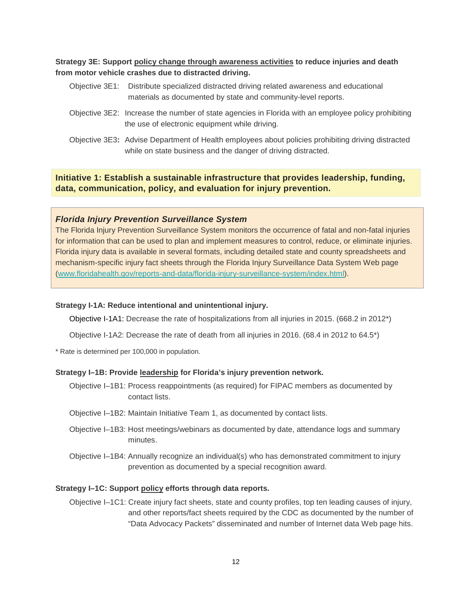**Strategy 3E: Support policy change through awareness activities to reduce injuries and death from motor vehicle crashes due to distracted driving.**

- Objective 3E1: Distribute specialized distracted driving related awareness and educational materials as documented by state and community-level reports.
- Objective 3E2: Increase the number of state agencies in Florida with an employee policy prohibiting the use of electronic equipment while driving.
- Objective 3E3**:** Advise Department of Health employees about policies prohibiting driving distracted while on state business and the danger of driving distracted.

<span id="page-11-0"></span>**Initiative 1: Establish a sustainable infrastructure that provides leadership, funding, data, communication, policy, and evaluation for injury prevention.**

## *Florida Injury Prevention Surveillance System*

The Florida Injury Prevention Surveillance System monitors the occurrence of fatal and non-fatal injuries for information that can be used to plan and implement measures to control, reduce, or eliminate injuries. Florida injury data is available in several formats, including detailed state and county spreadsheets and mechanism-specific injury fact sheets through the Florida Injury Surveillance Data System Web page [\(www.floridahealth.gov/reports-and-data/florida-injury-surveillance-system/index.html\)](http://www.floridahealth.gov/reports-and-data/florida-injury-surveillance-system/index.html).

## **Strategy I-1A: Reduce intentional and unintentional injury.**

Objective I-1A1: Decrease the rate of hospitalizations from all injuries in 2015. (668.2 in 2012\*)

Objective I-1A2: Decrease the rate of death from all injuries in 2016. (68.4 in 2012 to 64.5\*)

\* Rate is determined per 100,000 in population.

#### **Strategy I–1B: Provide leadership for Florida's injury prevention network.**

- Objective I–1B1: Process reappointments (as required) for FIPAC members as documented by contact lists.
- Objective I–1B2: Maintain Initiative Team 1, as documented by contact lists.
- Objective I–1B3: Host meetings/webinars as documented by date, attendance logs and summary minutes.
- Objective I–1B4: Annually recognize an individual(s) who has demonstrated commitment to injury prevention as documented by a special recognition award.

#### **Strategy I–1C: Support policy efforts through data reports.**

Objective I–1C1: Create injury fact sheets, state and county profiles, top ten leading causes of injury, and other reports/fact sheets required by the CDC as documented by the number of "Data Advocacy Packets" disseminated and number of Internet data Web page hits.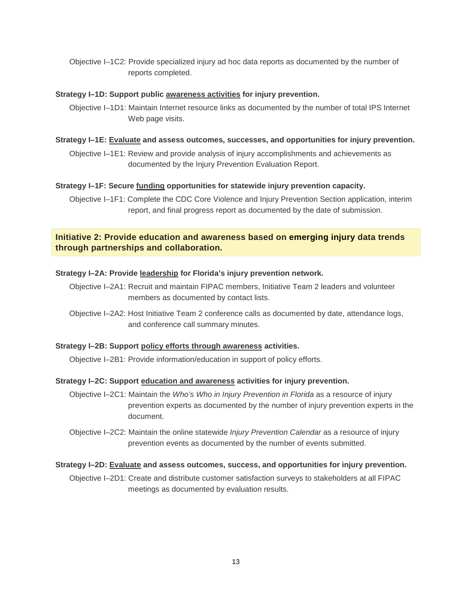Objective I–1C2: Provide specialized injury ad hoc data reports as documented by the number of reports completed.

#### **Strategy I–1D: Support public awareness activities for injury prevention.**

Objective I–1D1: Maintain Internet resource links as documented by the number of total IPS Internet Web page visits.

## **Strategy I–1E: Evaluate and assess outcomes, successes, and opportunities for injury prevention.**

Objective I–1E1: Review and provide analysis of injury accomplishments and achievements as documented by the Injury Prevention Evaluation Report.

## **Strategy I–1F: Secure funding opportunities for statewide injury prevention capacity.**

Objective I–1F1: Complete the CDC Core Violence and Injury Prevention Section application, interim report, and final progress report as documented by the date of submission.

## <span id="page-12-0"></span>**Initiative 2: Provide education and awareness based on emerging injury data trends through partnerships and collaboration.**

## **Strategy I–2A: Provide leadership for Florida's injury prevention network.**

- Objective I–2A1: Recruit and maintain FIPAC members, Initiative Team 2 leaders and volunteer members as documented by contact lists.
- Objective I–2A2: Host Initiative Team 2 conference calls as documented by date, attendance logs, and conference call summary minutes.

#### **Strategy I–2B: Support policy efforts through awareness activities.**

Objective I–2B1: Provide information/education in support of policy efforts.

## **Strategy I–2C: Support education and awareness activities for injury prevention.**

Objective I–2C1: Maintain the *Who's Who in Injury Prevention in Florida* as a resource of injury prevention experts as documented by the number of injury prevention experts in the document.

Objective I–2C2: Maintain the online statewide *Injury Prevention Calendar* as a resource of injury prevention events as documented by the number of events submitted.

#### **Strategy I–2D: Evaluate and assess outcomes, success, and opportunities for injury prevention.**

Objective I–2D1: Create and distribute customer satisfaction surveys to stakeholders at all FIPAC meetings as documented by evaluation results.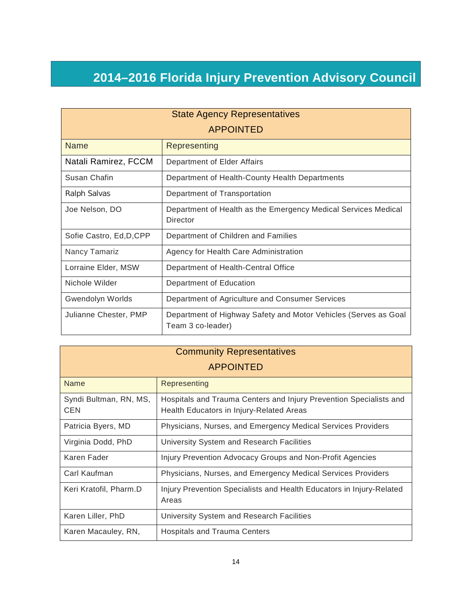## <span id="page-13-0"></span>**2014–2016 Florida Injury Prevention Advisory Council**

| <b>State Agency Representatives</b> |                                                                                      |  |  |
|-------------------------------------|--------------------------------------------------------------------------------------|--|--|
| <b>APPOINTED</b>                    |                                                                                      |  |  |
| <b>Name</b>                         | Representing                                                                         |  |  |
| Natali Ramirez, FCCM                | Department of Elder Affairs                                                          |  |  |
| Susan Chafin                        | Department of Health-County Health Departments                                       |  |  |
| Ralph Salvas                        | Department of Transportation                                                         |  |  |
| Joe Nelson, DO                      | Department of Health as the Emergency Medical Services Medical<br>Director           |  |  |
| Sofie Castro, Ed, D, CPP            | Department of Children and Families                                                  |  |  |
| Nancy Tamariz                       | Agency for Health Care Administration                                                |  |  |
| Lorraine Elder, MSW                 | Department of Health-Central Office                                                  |  |  |
| Nichole Wilder                      | Department of Education                                                              |  |  |
| Gwendolyn Worlds                    | Department of Agriculture and Consumer Services                                      |  |  |
| Julianne Chester, PMP               | Department of Highway Safety and Motor Vehicles (Serves as Goal<br>Team 3 co-leader) |  |  |

| <b>Community Representatives</b> |                                                                                                                |  |  |
|----------------------------------|----------------------------------------------------------------------------------------------------------------|--|--|
| <b>APPOINTED</b>                 |                                                                                                                |  |  |
| Name                             | Representing                                                                                                   |  |  |
| Syndi Bultman, RN, MS,<br>CEN    | Hospitals and Trauma Centers and Injury Prevention Specialists and<br>Health Educators in Injury-Related Areas |  |  |
| Patricia Byers, MD               | Physicians, Nurses, and Emergency Medical Services Providers                                                   |  |  |
| Virginia Dodd, PhD               | University System and Research Facilities                                                                      |  |  |
| Karen Fader                      | Injury Prevention Advocacy Groups and Non-Profit Agencies                                                      |  |  |
| Carl Kaufman                     | Physicians, Nurses, and Emergency Medical Services Providers                                                   |  |  |
| Keri Kratofil, Pharm.D           | Injury Prevention Specialists and Health Educators in Injury-Related<br>Areas                                  |  |  |
| Karen Liller, PhD                | University System and Research Facilities                                                                      |  |  |
| Karen Macauley, RN,              | Hospitals and Trauma Centers                                                                                   |  |  |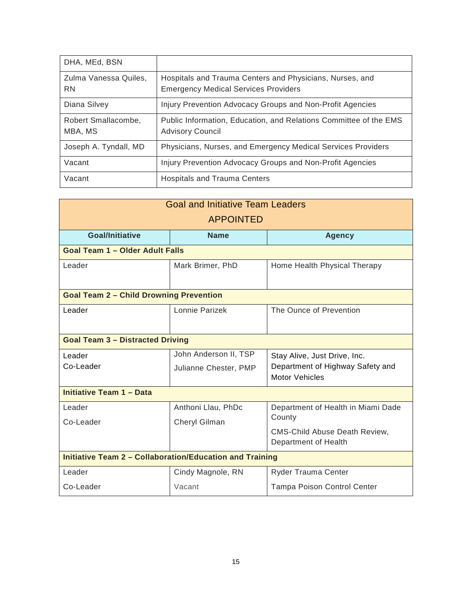| DHA, MEd, BSN                      |                                                                                                         |
|------------------------------------|---------------------------------------------------------------------------------------------------------|
| Zulma Vanessa Quiles,<br><b>RN</b> | Hospitals and Trauma Centers and Physicians, Nurses, and<br><b>Emergency Medical Services Providers</b> |
| Diana Silvey                       | Injury Prevention Advocacy Groups and Non-Profit Agencies                                               |
| Robert Smallacombe,<br>MBA, MS     | Public Information, Education, and Relations Committee of the EMS<br><b>Advisory Council</b>            |
| Joseph A. Tyndall, MD              | Physicians, Nurses, and Emergency Medical Services Providers                                            |
| Vacant                             | Injury Prevention Advocacy Groups and Non-Profit Agencies                                               |
| Vacant                             | <b>Hospitals and Trauma Centers</b>                                                                     |

| <b>Goal and Initiative Team Leaders</b>                         |                                                |                                                                                                              |  |
|-----------------------------------------------------------------|------------------------------------------------|--------------------------------------------------------------------------------------------------------------|--|
| <b>APPOINTED</b>                                                |                                                |                                                                                                              |  |
| <b>Goal/Initiative</b>                                          | <b>Name</b>                                    | <b>Agency</b>                                                                                                |  |
| <b>Goal Team 1 - Older Adult Falls</b>                          |                                                |                                                                                                              |  |
| Leader                                                          | Mark Brimer, PhD                               | Home Health Physical Therapy                                                                                 |  |
| <b>Goal Team 2 - Child Drowning Prevention</b>                  |                                                |                                                                                                              |  |
| Leader                                                          | Lonnie Parizek                                 | The Ounce of Prevention                                                                                      |  |
| <b>Goal Team 3 - Distracted Driving</b>                         |                                                |                                                                                                              |  |
| Leader<br>Co-Leader                                             | John Anderson II, TSP<br>Julianne Chester, PMP | Stay Alive, Just Drive, Inc.<br>Department of Highway Safety and<br><b>Motor Vehicles</b>                    |  |
| <b>Initiative Team 1 - Data</b>                                 |                                                |                                                                                                              |  |
| Leader<br>Co-Leader                                             | Anthoni Llau, PhDc<br><b>Cheryl Gilman</b>     | Department of Health in Miami Dade<br>County<br><b>CMS-Child Abuse Death Review,</b><br>Department of Health |  |
| <b>Initiative Team 2 - Collaboration/Education and Training</b> |                                                |                                                                                                              |  |
| Leader                                                          | Cindy Magnole, RN                              | Ryder Trauma Center                                                                                          |  |
| Co-Leader                                                       | Vacant                                         | <b>Tampa Poison Control Center</b>                                                                           |  |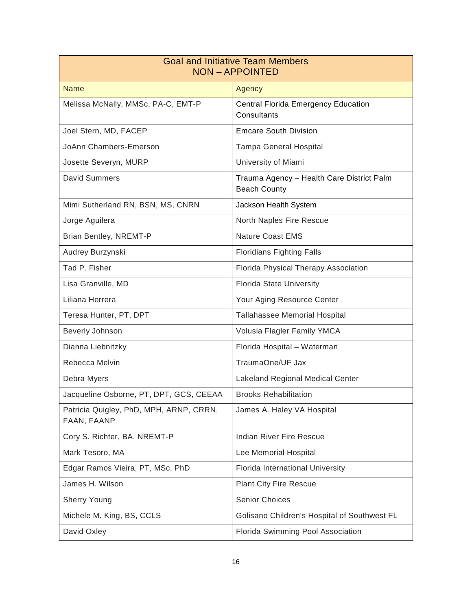| <b>Goal and Initiative Team Members</b><br><b>NON-APPOINTED</b> |                                                                  |  |
|-----------------------------------------------------------------|------------------------------------------------------------------|--|
| <b>Name</b>                                                     | Agency                                                           |  |
| Melissa McNally, MMSc, PA-C, EMT-P                              | <b>Central Florida Emergency Education</b><br>Consultants        |  |
| Joel Stern, MD, FACEP                                           | <b>Emcare South Division</b>                                     |  |
| JoAnn Chambers-Emerson                                          | <b>Tampa General Hospital</b>                                    |  |
| Josette Severyn, MURP                                           | University of Miami                                              |  |
| <b>David Summers</b>                                            | Trauma Agency - Health Care District Palm<br><b>Beach County</b> |  |
| Mimi Sutherland RN, BSN, MS, CNRN                               | Jackson Health System                                            |  |
| Jorge Aguilera                                                  | North Naples Fire Rescue                                         |  |
| Brian Bentley, NREMT-P                                          | <b>Nature Coast EMS</b>                                          |  |
| Audrey Burzynski                                                | <b>Floridians Fighting Falls</b>                                 |  |
| Tad P. Fisher                                                   | Florida Physical Therapy Association                             |  |
| Lisa Granville, MD                                              | <b>Florida State University</b>                                  |  |
| Liliana Herrera                                                 | Your Aging Resource Center                                       |  |
| Teresa Hunter, PT, DPT                                          | <b>Tallahassee Memorial Hospital</b>                             |  |
| Beverly Johnson                                                 | Volusia Flagler Family YMCA                                      |  |
| Dianna Liebnitzky                                               | Florida Hospital - Waterman                                      |  |
| Rebecca Melvin                                                  | TraumaOne/UF Jax                                                 |  |
| Debra Myers                                                     | <b>Lakeland Regional Medical Center</b>                          |  |
| Jacqueline Osborne, PT, DPT, GCS, CEEAA                         | <b>Brooks Rehabilitation</b>                                     |  |
| Patricia Quigley, PhD, MPH, ARNP, CRRN,<br>FAAN, FAANP          | James A. Haley VA Hospital                                       |  |
| Cory S. Richter, BA, NREMT-P                                    | Indian River Fire Rescue                                         |  |
| Mark Tesoro, MA                                                 | Lee Memorial Hospital                                            |  |
| Edgar Ramos Vieira, PT, MSc, PhD                                | Florida International University                                 |  |
| James H. Wilson                                                 | <b>Plant City Fire Rescue</b>                                    |  |
| <b>Sherry Young</b>                                             | <b>Senior Choices</b>                                            |  |
| Michele M. King, BS, CCLS                                       | Golisano Children's Hospital of Southwest FL                     |  |
| David Oxley                                                     | Florida Swimming Pool Association                                |  |